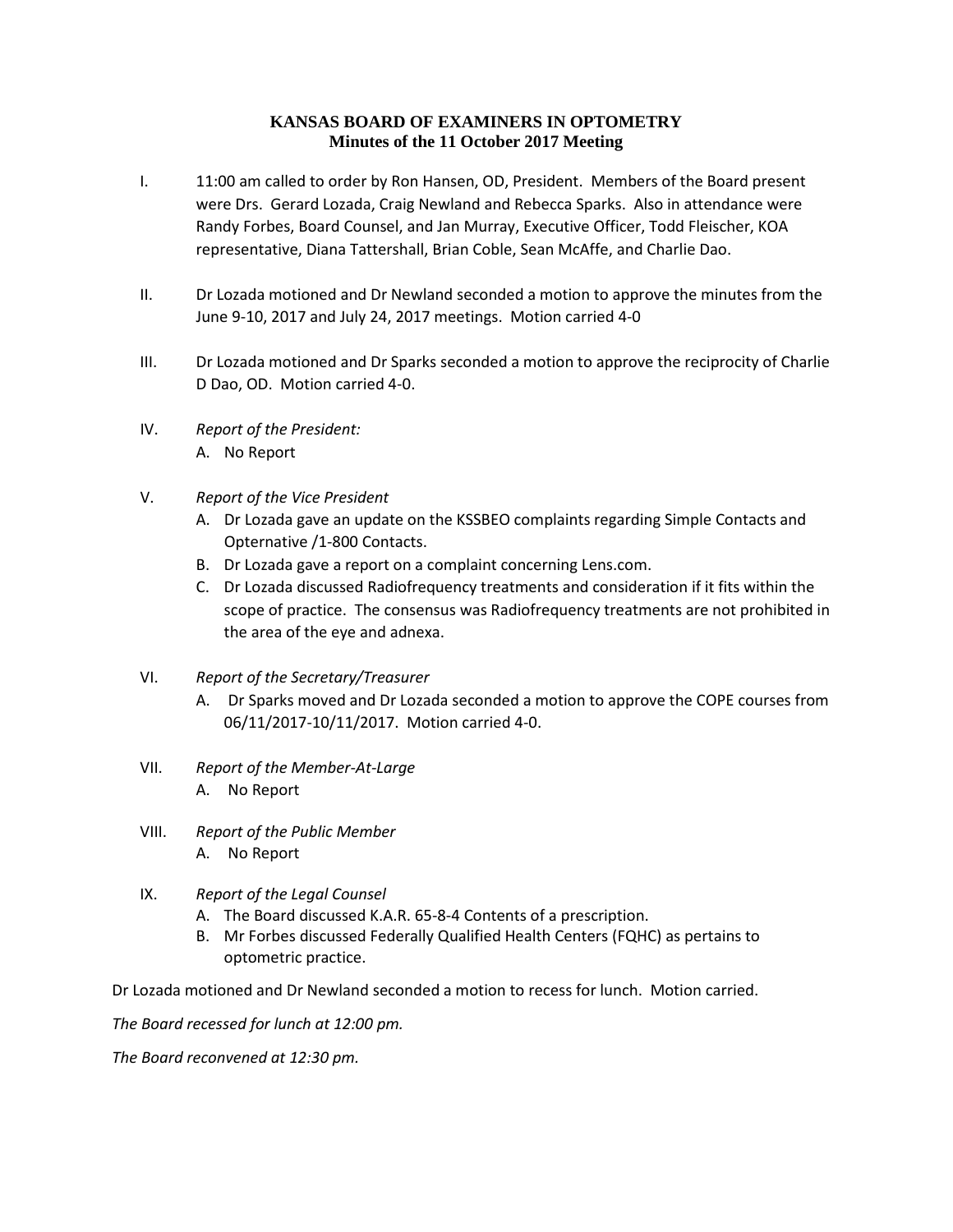## **KANSAS BOARD OF EXAMINERS IN OPTOMETRY Minutes of the 11 October 2017 Meeting**

- I. 11:00 am called to order by Ron Hansen, OD, President. Members of the Board present were Drs. Gerard Lozada, Craig Newland and Rebecca Sparks. Also in attendance were Randy Forbes, Board Counsel, and Jan Murray, Executive Officer, Todd Fleischer, KOA representative, Diana Tattershall, Brian Coble, Sean McAffe, and Charlie Dao.
- II. Dr Lozada motioned and Dr Newland seconded a motion to approve the minutes from the June 9-10, 2017 and July 24, 2017 meetings. Motion carried 4-0
- III. Dr Lozada motioned and Dr Sparks seconded a motion to approve the reciprocity of Charlie D Dao, OD. Motion carried 4-0.
- IV. *Report of the President:* A. No Report
- V. *Report of the Vice President*
	- A. Dr Lozada gave an update on the KSSBEO complaints regarding Simple Contacts and Opternative /1-800 Contacts.
	- B. Dr Lozada gave a report on a complaint concerning Lens.com.
	- C. Dr Lozada discussed Radiofrequency treatments and consideration if it fits within the scope of practice. The consensus was Radiofrequency treatments are not prohibited in the area of the eye and adnexa.
- VI. *Report of the Secretary/Treasurer*
	- A. Dr Sparks moved and Dr Lozada seconded a motion to approve the COPE courses from 06/11/2017-10/11/2017. Motion carried 4-0.
- VII. *Report of the Member-At-Large* A. No Report
- VIII. *Report of the Public Member* A. No Report
- IX. *Report of the Legal Counsel*
	- A. The Board discussed K.A.R. 65-8-4 Contents of a prescription.
	- B. Mr Forbes discussed Federally Qualified Health Centers (FQHC) as pertains to optometric practice.

Dr Lozada motioned and Dr Newland seconded a motion to recess for lunch. Motion carried.

*The Board recessed for lunch at 12:00 pm.*

*The Board reconvened at 12:30 pm.*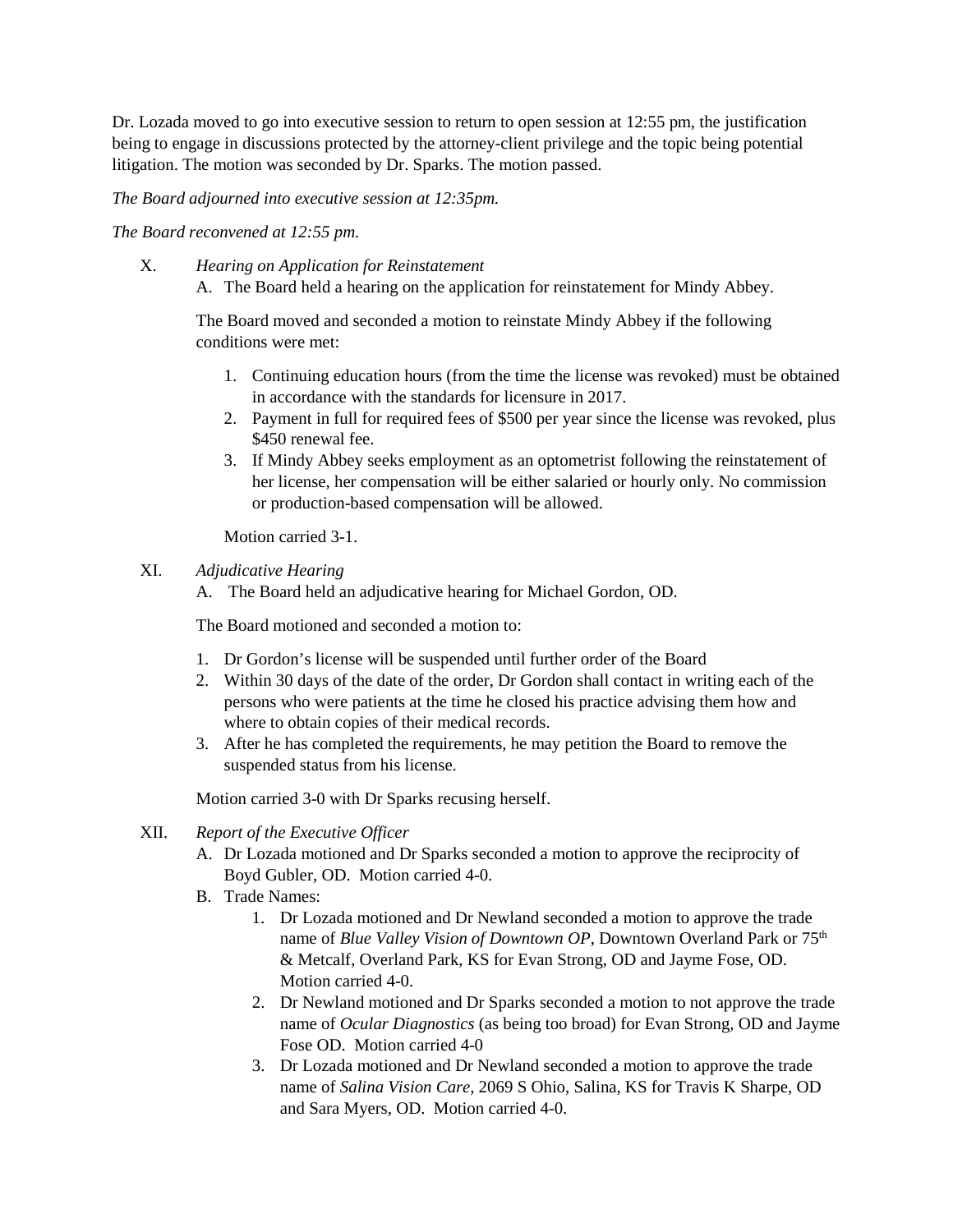Dr. Lozada moved to go into executive session to return to open session at 12:55 pm, the justification being to engage in discussions protected by the attorney-client privilege and the topic being potential litigation. The motion was seconded by Dr. Sparks. The motion passed.

*The Board adjourned into executive session at 12:35pm.* 

*The Board reconvened at 12:55 pm.*

X. *Hearing on Application for Reinstatement* A. The Board held a hearing on the application for reinstatement for Mindy Abbey.

The Board moved and seconded a motion to reinstate Mindy Abbey if the following conditions were met:

- 1. Continuing education hours (from the time the license was revoked) must be obtained in accordance with the standards for licensure in 2017.
- 2. Payment in full for required fees of \$500 per year since the license was revoked, plus \$450 renewal fee.
- 3. If Mindy Abbey seeks employment as an optometrist following the reinstatement of her license, her compensation will be either salaried or hourly only. No commission or production-based compensation will be allowed.

Motion carried 3-1.

XI. *Adjudicative Hearing* 

A. The Board held an adjudicative hearing for Michael Gordon, OD.

The Board motioned and seconded a motion to:

- 1. Dr Gordon's license will be suspended until further order of the Board
- 2. Within 30 days of the date of the order, Dr Gordon shall contact in writing each of the persons who were patients at the time he closed his practice advising them how and where to obtain copies of their medical records.
- 3. After he has completed the requirements, he may petition the Board to remove the suspended status from his license.

Motion carried 3-0 with Dr Sparks recusing herself.

- XII. *Report of the Executive Officer*
	- A. Dr Lozada motioned and Dr Sparks seconded a motion to approve the reciprocity of Boyd Gubler, OD. Motion carried 4-0.
	- B. Trade Names:
		- 1. Dr Lozada motioned and Dr Newland seconded a motion to approve the trade name of *Blue Valley Vision of Downtown OP*, Downtown Overland Park or 75<sup>th</sup> & Metcalf, Overland Park, KS for Evan Strong, OD and Jayme Fose, OD. Motion carried 4-0.
		- 2. Dr Newland motioned and Dr Sparks seconded a motion to not approve the trade name of *Ocular Diagnostics* (as being too broad) for Evan Strong, OD and Jayme Fose OD. Motion carried 4-0
		- 3. Dr Lozada motioned and Dr Newland seconded a motion to approve the trade name of *Salina Vision Care,* 2069 S Ohio, Salina, KS for Travis K Sharpe, OD and Sara Myers, OD. Motion carried 4-0.